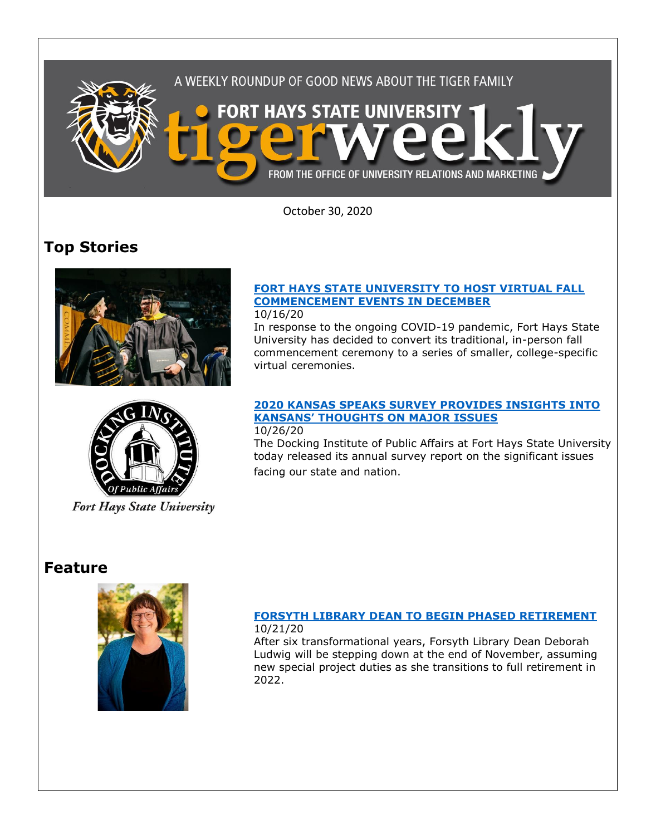

October 30, 2020

# **Top Stories**





**Fort Hays State University** 

## **[FORT HAYS STATE UNIVERSITY TO HOST VIRTUAL FALL](https://fhsu.edu/news/2020/10/fort-hays-state-university-to-host-virtual-fall-commencement-events-in-december)  [COMMENCEMENT EVENTS IN DECEMBER](https://fhsu.edu/news/2020/10/fort-hays-state-university-to-host-virtual-fall-commencement-events-in-december)**

### 10/16/20

In response to the ongoing COVID-19 pandemic, Fort Hays State University has decided to convert its traditional, in-person fall commencement ceremony to a series of smaller, college-specific virtual ceremonies.

# **[2020 KANSAS SPEAKS SURVEY PROVIDES INSIGHTS INTO](https://fhsu.edu/news/2020/10/2020-kansas-speaks-survey-provides-insights-into-kansans-thoughts-on-major-issues)  [KANSANS' THOUGHTS ON MAJOR ISSUES](https://fhsu.edu/news/2020/10/2020-kansas-speaks-survey-provides-insights-into-kansans-thoughts-on-major-issues)**

## 10/26/20

The Docking Institute of Public Affairs at Fort Hays State University today released its annual survey report on the significant issues facing our state and nation.

# **Feature**



### **[FORSYTH LIBRARY DEAN TO BEGIN PHASED RETIREMENT](https://fhsu.edu/news/2020/10/forsyth-library-dean-to-begin-phased-retirement)** 10/21/20

After six transformational years, Forsyth Library Dean Deborah Ludwig will be stepping down at the end of November, assuming new special project duties as she transitions to full retirement in 2022.